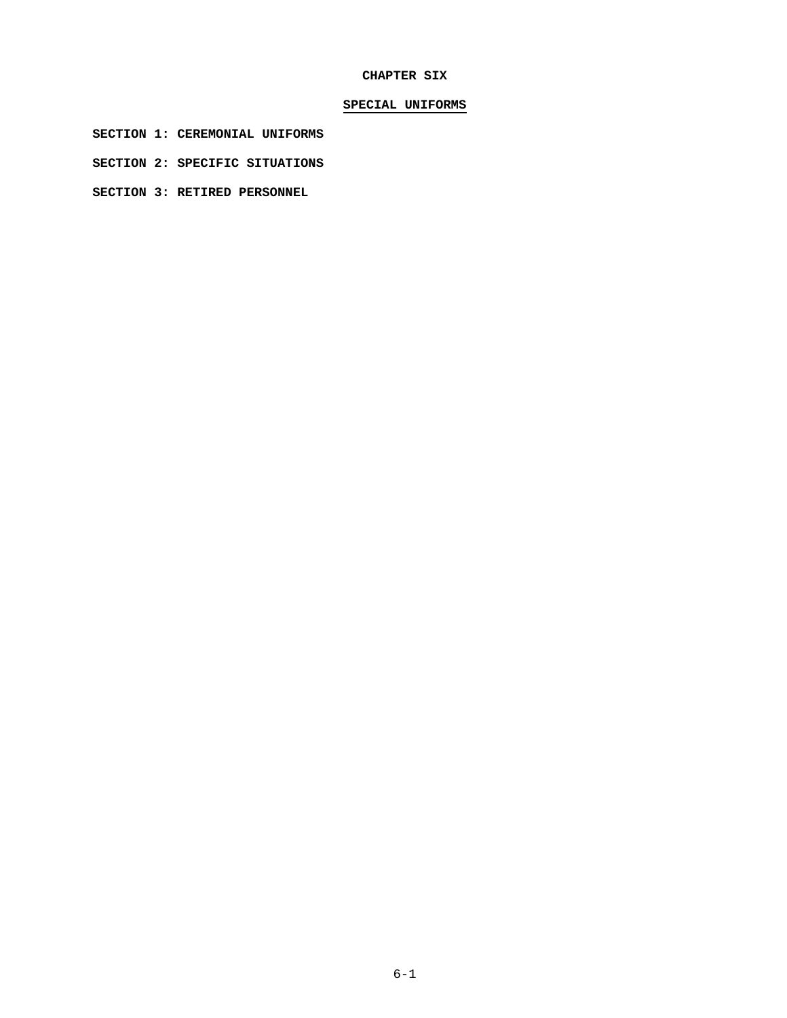# **SPECIAL UNIFORMS**

- **SECTION 1: CEREMONIAL UNIFORMS**
- **SECTION 2: SPECIFIC SITUATIONS**
- **SECTION 3: RETIRED PERSONNEL**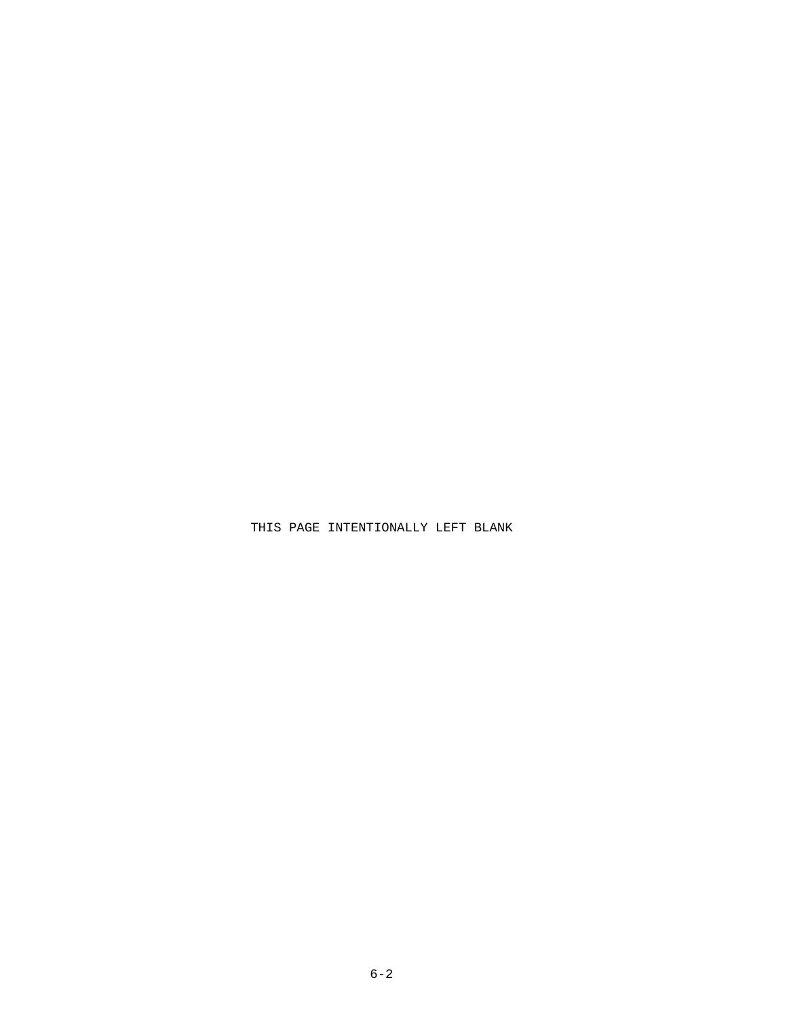THIS PAGE INTENTIONALLY LEFT BLANK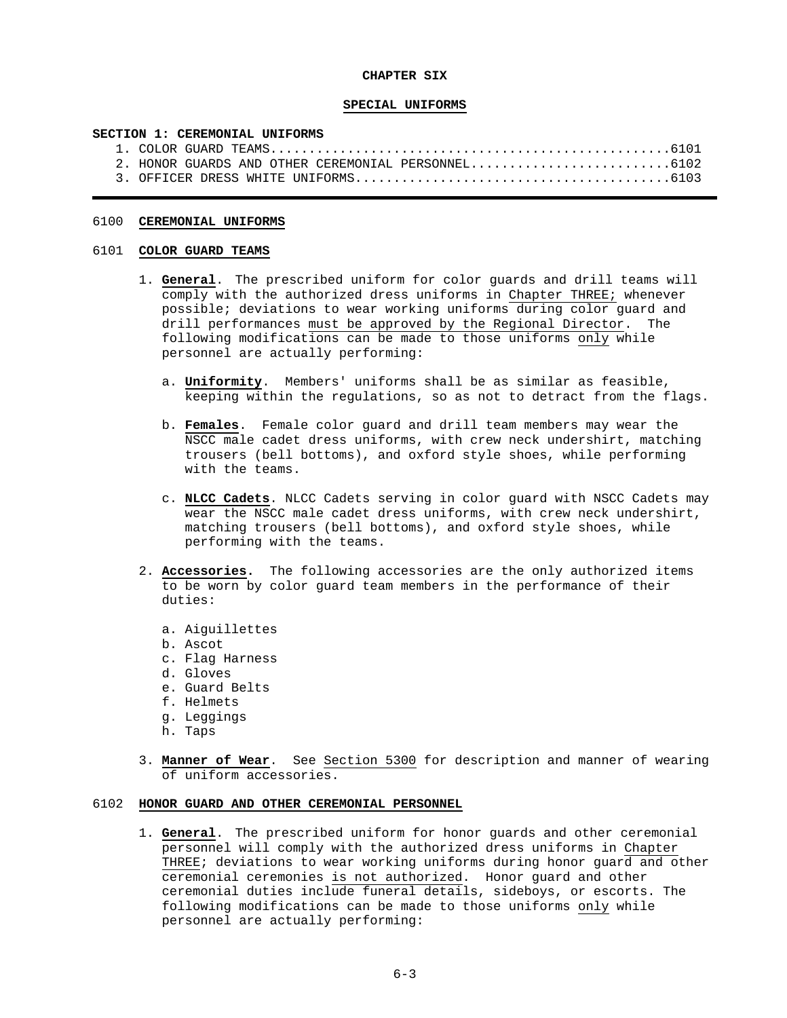#### **SPECIAL UNIFORMS**

## **SECTION 1: CEREMONIAL UNIFORMS**

|  |  |  | 2. HONOR GUARDS AND OTHER CEREMONIAL PERSONNEL6102 |
|--|--|--|----------------------------------------------------|
|  |  |  |                                                    |

#### 6100 **CEREMONIAL UNIFORMS**

#### 6101 **COLOR GUARD TEAMS**

- 1. **General**. The prescribed uniform for color guards and drill teams will comply with the authorized dress uniforms in Chapter THREE; whenever possible; deviations to wear working uniforms during color guard and drill performances must be approved by the Regional Director. The following modifications can be made to those uniforms only while personnel are actually performing:
	- a. **Uniformity**. Members' uniforms shall be as similar as feasible, keeping within the regulations, so as not to detract from the flags.
	- b. **Females**. Female color guard and drill team members may wear the NSCC male cadet dress uniforms, with crew neck undershirt, matching trousers (bell bottoms), and oxford style shoes, while performing with the teams.
	- c. **NLCC Cadets**. NLCC Cadets serving in color guard with NSCC Cadets may wear the NSCC male cadet dress uniforms, with crew neck undershirt, matching trousers (bell bottoms), and oxford style shoes, while performing with the teams.
- 2. **Accessories.** The following accessories are the only authorized items to be worn by color guard team members in the performance of their duties:
	- a. Aiguillettes
	- b. Ascot
	- c. Flag Harness
	- d. Gloves
	- e. Guard Belts
	- f. Helmets
	- g. Leggings
	- h. Taps
- 3. **Manner of Wear**. See Section 5300 for description and manner of wearing of uniform accessories.

#### 6102 **HONOR GUARD AND OTHER CEREMONIAL PERSONNEL**

1. **General**. The prescribed uniform for honor guards and other ceremonial personnel will comply with the authorized dress uniforms in Chapter THREE; deviations to wear working uniforms during honor guard and other ceremonial ceremonies is not authorized. Honor guard and other ceremonial duties include funeral details, sideboys, or escorts. The following modifications can be made to those uniforms only while personnel are actually performing: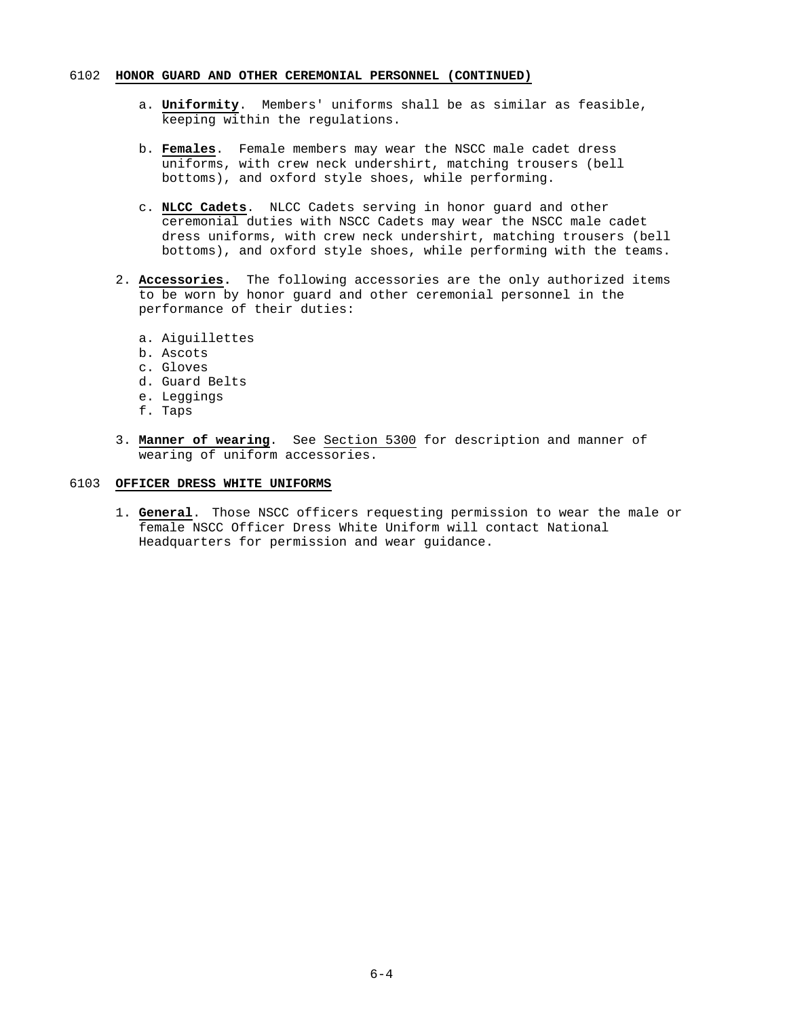#### 6102 **HONOR GUARD AND OTHER CEREMONIAL PERSONNEL (CONTINUED)**

- a. **Uniformity**. Members' uniforms shall be as similar as feasible, keeping within the regulations.
- b. **Females**. Female members may wear the NSCC male cadet dress uniforms, with crew neck undershirt, matching trousers (bell bottoms), and oxford style shoes, while performing.
- c. **NLCC Cadets**. NLCC Cadets serving in honor guard and other ceremonial duties with NSCC Cadets may wear the NSCC male cadet dress uniforms, with crew neck undershirt, matching trousers (bell bottoms), and oxford style shoes, while performing with the teams.
- 2. **Accessories.** The following accessories are the only authorized items to be worn by honor guard and other ceremonial personnel in the performance of their duties:
	- a. Aiguillettes
	- b. Ascots
	- c. Gloves
	- d. Guard Belts
	- e. Leggings
	- f. Taps
- 3. **Manner of wearing**. See Section 5300 for description and manner of wearing of uniform accessories.

#### 6103 **OFFICER DRESS WHITE UNIFORMS**

1. **General**. Those NSCC officers requesting permission to wear the male or female NSCC Officer Dress White Uniform will contact National Headquarters for permission and wear guidance.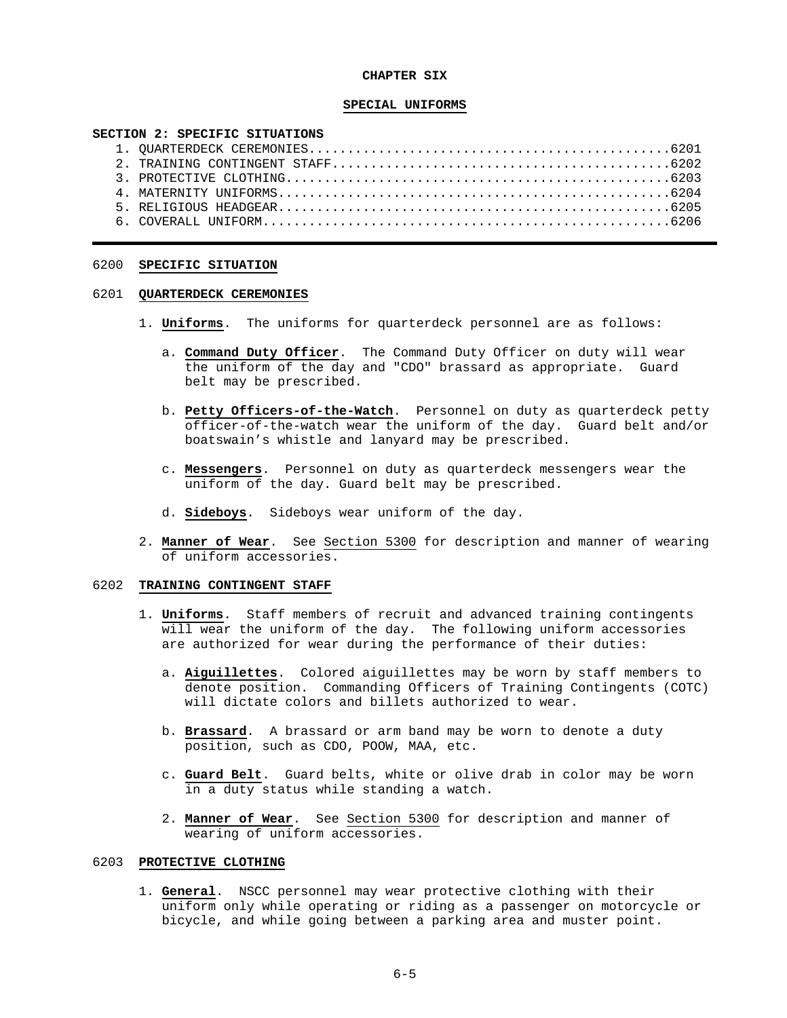#### **SPECIAL UNIFORMS**

## **SECTION 2: SPECIFIC SITUATIONS**

#### 6200 **SPECIFIC SITUATION**

#### 6201 **QUARTERDECK CEREMONIES**

- 1. **Uniforms**. The uniforms for quarterdeck personnel are as follows:
	- a. **Command Duty Officer**. The Command Duty Officer on duty will wear the uniform of the day and "CDO" brassard as appropriate. Guard belt may be prescribed.
	- b. **Petty Officers-of-the-Watch**. Personnel on duty as quarterdeck petty officer-of-the-watch wear the uniform of the day. Guard belt and/or boatswain's whistle and lanyard may be prescribed.
	- c. **Messengers**. Personnel on duty as quarterdeck messengers wear the uniform of the day. Guard belt may be prescribed.
	- d. **Sideboys**. Sideboys wear uniform of the day.
- 2. **Manner of Wear**. See Section 5300 for description and manner of wearing of uniform accessories.

#### 6202 **TRAINING CONTINGENT STAFF**

- 1. **Uniforms**. Staff members of recruit and advanced training contingents will wear the uniform of the day. The following uniform accessories are authorized for wear during the performance of their duties:
	- a. **Aiguillettes**. Colored aiguillettes may be worn by staff members to denote position. Commanding Officers of Training Contingents (COTC) will dictate colors and billets authorized to wear.
	- b. **Brassard**. A brassard or arm band may be worn to denote a duty position, such as CDO, POOW, MAA, etc.
	- c. **Guard Belt**. Guard belts, white or olive drab in color may be worn in a duty status while standing a watch.
	- 2. **Manner of Wear**. See Section 5300 for description and manner of wearing of uniform accessories.

## 6203 **PROTECTIVE CLOTHING**

1. **General**. NSCC personnel may wear protective clothing with their uniform only while operating or riding as a passenger on motorcycle or bicycle, and while going between a parking area and muster point.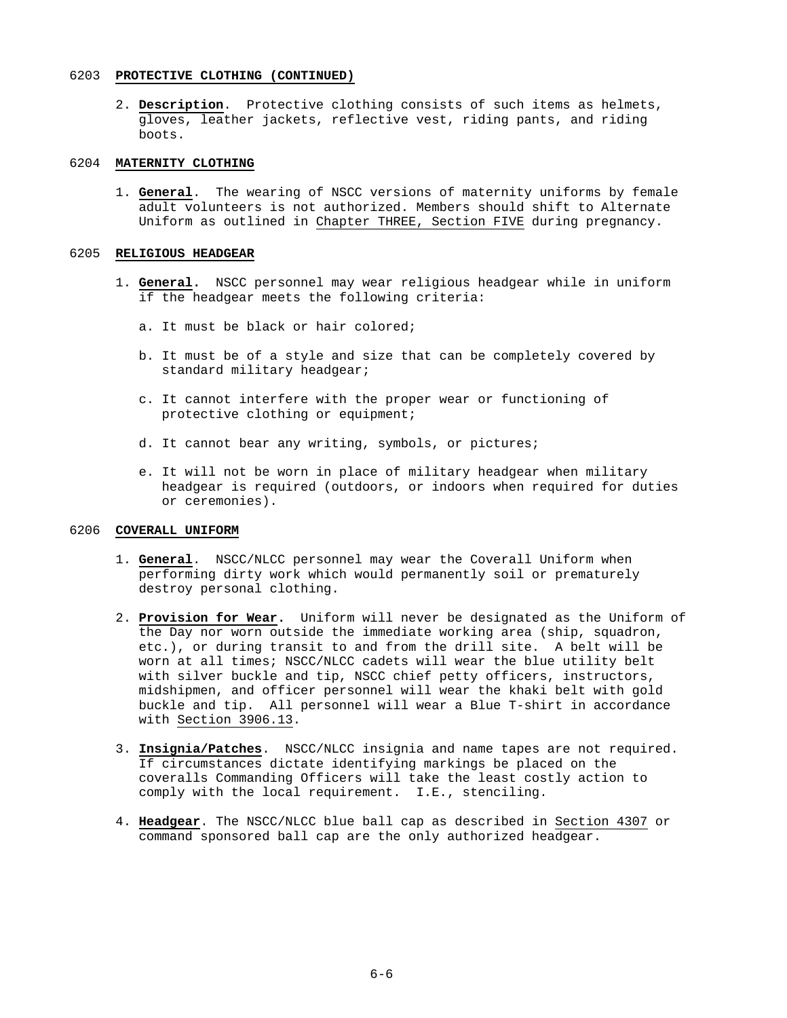#### 6203 **PROTECTIVE CLOTHING (CONTINUED)**

2. **Description**. Protective clothing consists of such items as helmets, gloves, leather jackets, reflective vest, riding pants, and riding boots.

#### 6204 **MATERNITY CLOTHING**

1. **General**. The wearing of NSCC versions of maternity uniforms by female adult volunteers is not authorized. Members should shift to Alternate Uniform as outlined in Chapter THREE, Section FIVE during pregnancy.

#### 6205 **RELIGIOUS HEADGEAR**

- 1. **General.** NSCC personnel may wear religious headgear while in uniform if the headgear meets the following criteria:
	- a. It must be black or hair colored;
	- b. It must be of a style and size that can be completely covered by standard military headgear;
	- c. It cannot interfere with the proper wear or functioning of protective clothing or equipment;
	- d. It cannot bear any writing, symbols, or pictures;
	- e. It will not be worn in place of military headgear when military headgear is required (outdoors, or indoors when required for duties or ceremonies).

# 6206 **COVERALL UNIFORM**

- 1. **General**. NSCC/NLCC personnel may wear the Coverall Uniform when performing dirty work which would permanently soil or prematurely destroy personal clothing.
- 2. **Provision for Wear.** Uniform will never be designated as the Uniform of the Day nor worn outside the immediate working area (ship, squadron, etc.), or during transit to and from the drill site. A belt will be worn at all times; NSCC/NLCC cadets will wear the blue utility belt with silver buckle and tip, NSCC chief petty officers, instructors, midshipmen, and officer personnel will wear the khaki belt with gold buckle and tip. All personnel will wear a Blue T-shirt in accordance with Section 3906.13.
- 3. **Insignia/Patches**. NSCC/NLCC insignia and name tapes are not required. If circumstances dictate identifying markings be placed on the coveralls Commanding Officers will take the least costly action to comply with the local requirement. I.E., stenciling.
- 4. **Headgear**. The NSCC/NLCC blue ball cap as described in Section 4307 or command sponsored ball cap are the only authorized headgear.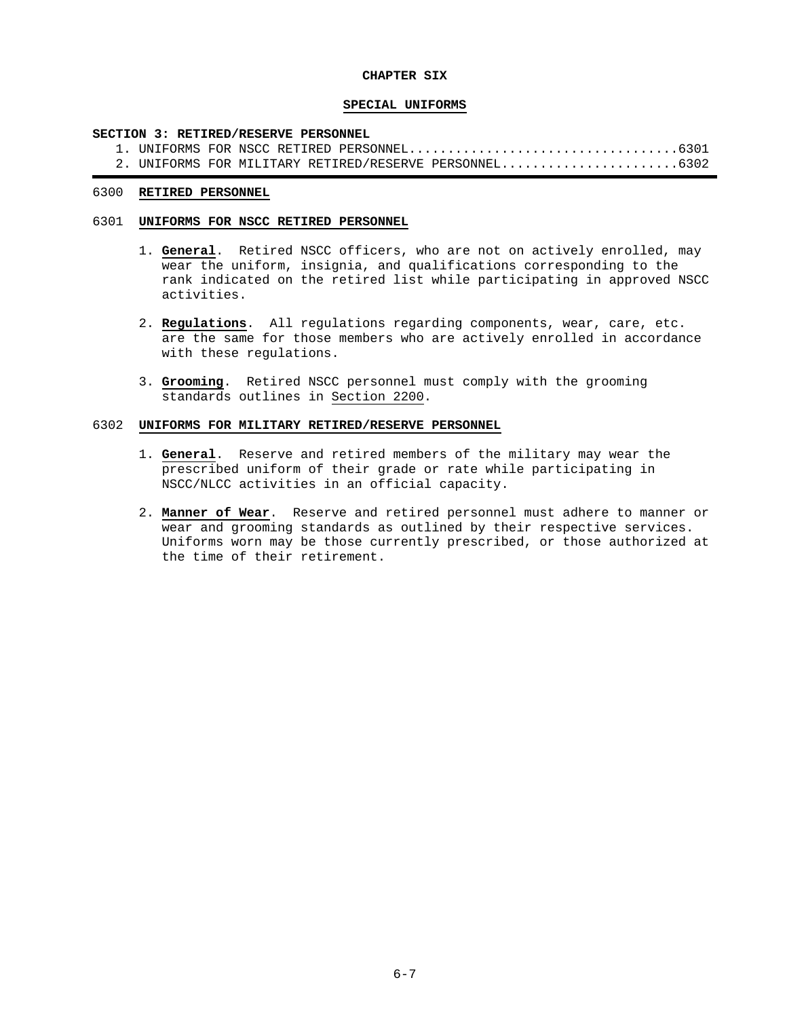#### **SPECIAL UNIFORMS**

#### **SECTION 3: RETIRED/RESERVE PERSONNEL**

1. UNIFORMS FOR NSCC RETIRED PERSONNEL...................................6301 2. UNIFORMS FOR MILITARY RETIRED/RESERVE PERSONNEL.......................6302

#### 6300 **RETIRED PERSONNEL**

#### 6301 **UNIFORMS FOR NSCC RETIRED PERSONNEL**

- 1. **General**. Retired NSCC officers, who are not on actively enrolled, may wear the uniform, insignia, and qualifications corresponding to the rank indicated on the retired list while participating in approved NSCC activities.
- 2. **Regulations**. All regulations regarding components, wear, care, etc. are the same for those members who are actively enrolled in accordance with these regulations.
- 3. **Grooming**. Retired NSCC personnel must comply with the grooming standards outlines in Section 2200.

#### 6302 **UNIFORMS FOR MILITARY RETIRED/RESERVE PERSONNEL**

- 1. **General**. Reserve and retired members of the military may wear the prescribed uniform of their grade or rate while participating in NSCC/NLCC activities in an official capacity.
- 2. **Manner of Wear**. Reserve and retired personnel must adhere to manner or wear and grooming standards as outlined by their respective services. Uniforms worn may be those currently prescribed, or those authorized at the time of their retirement.